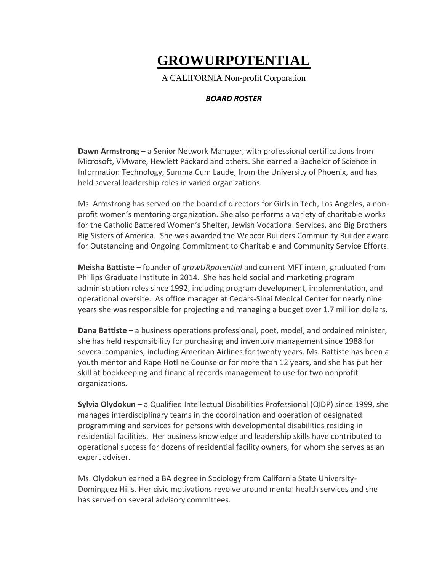## **GROWURPOTENTIAL**

A CALIFORNIA Non-profit Corporation

## *BOARD ROSTER*

**Dawn Armstrong –** a Senior Network Manager, with professional certifications from Microsoft, VMware, Hewlett Packard and others. She earned a Bachelor of Science in Information Technology, Summa Cum Laude, from the University of Phoenix, and has held several leadership roles in varied organizations.

Ms. Armstrong has served on the board of directors for Girls in Tech, Los Angeles, a nonprofit women's mentoring organization. She also performs a variety of charitable works for the Catholic Battered Women's Shelter, Jewish Vocational Services, and Big Brothers Big Sisters of America. She was awarded the Webcor Builders Community Builder award for Outstanding and Ongoing Commitment to Charitable and Community Service Efforts.

**Meisha Battiste** – founder of *growURpotential* and current MFT intern, graduated from Phillips Graduate Institute in 2014. She has held social and marketing program administration roles since 1992, including program development, implementation, and operational oversite. As office manager at Cedars-Sinai Medical Center for nearly nine years she was responsible for projecting and managing a budget over 1.7 million dollars.

**Dana Battiste –** a business operations professional, poet, model, and ordained minister, she has held responsibility for purchasing and inventory management since 1988 for several companies, including American Airlines for twenty years. Ms. Battiste has been a youth mentor and Rape Hotline Counselor for more than 12 years, and she has put her skill at bookkeeping and financial records management to use for two nonprofit organizations.

**Sylvia Olydokun** – a Qualified Intellectual Disabilities Professional (QIDP) since 1999, she manages interdisciplinary teams in the coordination and operation of designated programming and services for persons with developmental disabilities residing in residential facilities. Her business knowledge and leadership skills have contributed to operational success for dozens of residential facility owners, for whom she serves as an expert adviser.

Ms. Olydokun earned a BA degree in Sociology from California State University-Dominguez Hills. Her civic motivations revolve around mental health services and she has served on several advisory committees.